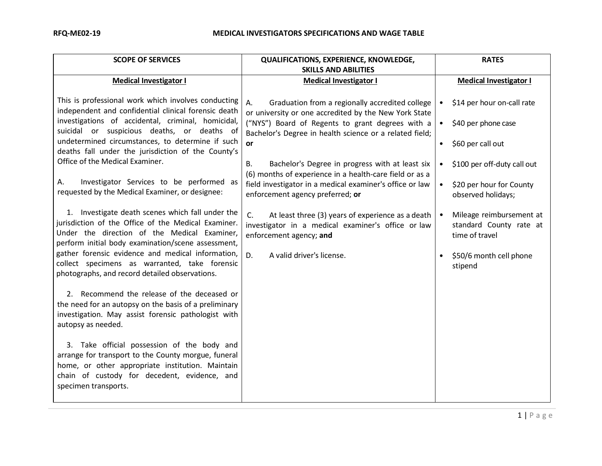| <b>SCOPE OF SERVICES</b>                                                                                                                                                                                                       | QUALIFICATIONS, EXPERIENCE, KNOWLEDGE,<br><b>SKILLS AND ABILITIES</b>                                                                    | <b>RATES</b>                                                                       |
|--------------------------------------------------------------------------------------------------------------------------------------------------------------------------------------------------------------------------------|------------------------------------------------------------------------------------------------------------------------------------------|------------------------------------------------------------------------------------|
| <b>Medical Investigator I</b>                                                                                                                                                                                                  | <b>Medical Investigator I</b>                                                                                                            | <b>Medical Investigator I</b>                                                      |
| This is professional work which involves conducting<br>independent and confidential clinical forensic death                                                                                                                    | А.<br>Graduation from a regionally accredited college<br>or university or one accredited by the New York State                           | \$14 per hour on-call rate<br>$\bullet$                                            |
| investigations of accidental, criminal, homicidal,<br>suicidal or suspicious deaths, or deaths of<br>undetermined circumstances, to determine if such                                                                          | ("NYS") Board of Regents to grant degrees with a<br>Bachelor's Degree in health science or a related field;                              | \$40 per phone case<br>$\bullet$                                                   |
| deaths fall under the jurisdiction of the County's                                                                                                                                                                             | or                                                                                                                                       | \$60 per call out<br>$\bullet$                                                     |
| Office of the Medical Examiner.                                                                                                                                                                                                | Bachelor's Degree in progress with at least six<br>В.<br>(6) months of experience in a health-care field or as a                         | \$100 per off-duty call out<br>$\bullet$                                           |
| Investigator Services to be performed as<br>А.<br>requested by the Medical Examiner, or designee:                                                                                                                              | field investigator in a medical examiner's office or law<br>enforcement agency preferred; or                                             | \$20 per hour for County<br>$\bullet$<br>observed holidays;                        |
| 1. Investigate death scenes which fall under the<br>jurisdiction of the Office of the Medical Examiner.<br>Under the direction of the Medical Examiner,<br>perform initial body examination/scene assessment,                  | C.<br>At least three (3) years of experience as a death<br>investigator in a medical examiner's office or law<br>enforcement agency; and | Mileage reimbursement at<br>$\bullet$<br>standard County rate at<br>time of travel |
| gather forensic evidence and medical information,<br>collect specimens as warranted, take forensic<br>photographs, and record detailed observations.                                                                           | D.<br>A valid driver's license.                                                                                                          | \$50/6 month cell phone<br>$\bullet$<br>stipend                                    |
| 2. Recommend the release of the deceased or<br>the need for an autopsy on the basis of a preliminary<br>investigation. May assist forensic pathologist with<br>autopsy as needed.                                              |                                                                                                                                          |                                                                                    |
| 3. Take official possession of the body and<br>arrange for transport to the County morgue, funeral<br>home, or other appropriate institution. Maintain<br>chain of custody for decedent, evidence, and<br>specimen transports. |                                                                                                                                          |                                                                                    |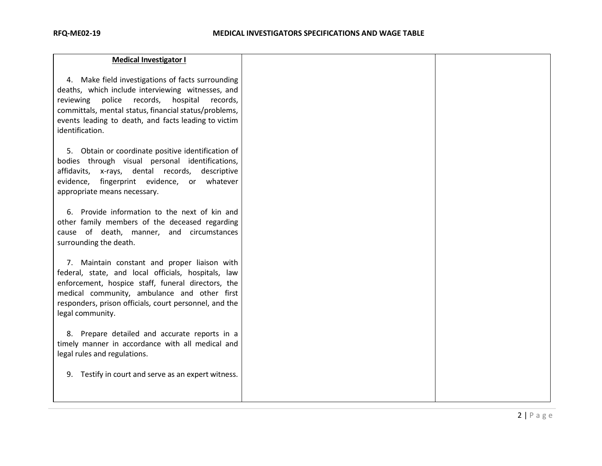4. Make field investigations of facts surrounding deaths, which include interviewing witnesses, and reviewing police records, hospital records, committals, mental status, financial status/problems, events leading to death, and facts leading to victim identification.

5. Obtain or coordinate positive identification of bodies through visual personal identifications, affidavits, x-rays, dental records, descriptive evidence, fingerprint evidence, or whatever appropriate means necessary.

6. Provide information to the next of kin and other family members of the deceased regarding cause of death, manner, and circumstances surrounding the death.

7. Maintain constant and proper liaison with federal, state, and local officials, hospitals, law enforcement, hospice staff, funeral directors, the medical community, ambulance and other first responders, prison officials, court personnel, and the legal community.

8. Prepare detailed and accurate reports in a timely manner in accordance with all medical and legal rules and regulations.

9. Testify in court and serve as an expert witness.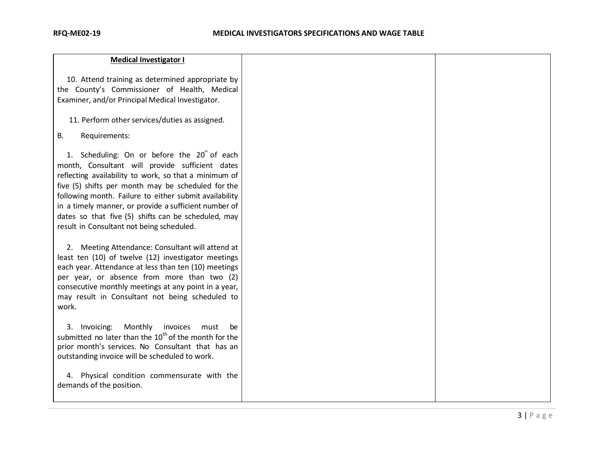| <b>Medical Investigator I</b>                                                                                                                                                                                                                                                                                                                                                                                                                    |  |
|--------------------------------------------------------------------------------------------------------------------------------------------------------------------------------------------------------------------------------------------------------------------------------------------------------------------------------------------------------------------------------------------------------------------------------------------------|--|
| 10. Attend training as determined appropriate by<br>the County's Commissioner of Health, Medical<br>Examiner, and/or Principal Medical Investigator.                                                                                                                                                                                                                                                                                             |  |
| 11. Perform other services/duties as assigned.                                                                                                                                                                                                                                                                                                                                                                                                   |  |
| В.<br>Requirements:                                                                                                                                                                                                                                                                                                                                                                                                                              |  |
| 1. Scheduling: On or before the 20 <sup>"</sup> of each<br>month, Consultant will provide sufficient dates<br>reflecting availability to work, so that a minimum of<br>five (5) shifts per month may be scheduled for the<br>following month. Failure to either submit availability<br>in a timely manner, or provide a sufficient number of<br>dates so that five (5) shifts can be scheduled, may<br>result in Consultant not being scheduled. |  |
| 2. Meeting Attendance: Consultant will attend at<br>least ten (10) of twelve (12) investigator meetings<br>each year. Attendance at less than ten (10) meetings<br>per year, or absence from more than two (2)<br>consecutive monthly meetings at any point in a year,<br>may result in Consultant not being scheduled to<br>work.                                                                                                               |  |
| 3. Invoicing:<br>Monthly<br>invoices<br>must<br>be<br>submitted no later than the $10^{th}$ of the month for the<br>prior month's services. No Consultant that has an<br>outstanding invoice will be scheduled to work.<br>4. Physical condition commensurate with the                                                                                                                                                                           |  |
| demands of the position.                                                                                                                                                                                                                                                                                                                                                                                                                         |  |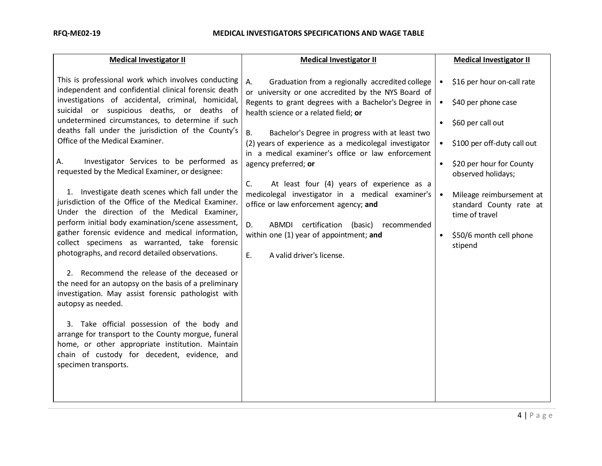| <b>Medical Investigator II</b>                                                                                                                                                                                                                                                                                                                                                                                                                                                                                                                                                                                                                                                                                                                                                                                                                                                                                                                                                                                                                                                                                                                                                                                                                                     | <b>Medical Investigator II</b>                                                                                                                                                                                                                                                                                                                                                                                                                                                                                                                                                                                                                                                                         |                                                                                         | <b>Medical Investigator II</b>                                                                                                                                                                                                                                         |
|--------------------------------------------------------------------------------------------------------------------------------------------------------------------------------------------------------------------------------------------------------------------------------------------------------------------------------------------------------------------------------------------------------------------------------------------------------------------------------------------------------------------------------------------------------------------------------------------------------------------------------------------------------------------------------------------------------------------------------------------------------------------------------------------------------------------------------------------------------------------------------------------------------------------------------------------------------------------------------------------------------------------------------------------------------------------------------------------------------------------------------------------------------------------------------------------------------------------------------------------------------------------|--------------------------------------------------------------------------------------------------------------------------------------------------------------------------------------------------------------------------------------------------------------------------------------------------------------------------------------------------------------------------------------------------------------------------------------------------------------------------------------------------------------------------------------------------------------------------------------------------------------------------------------------------------------------------------------------------------|-----------------------------------------------------------------------------------------|------------------------------------------------------------------------------------------------------------------------------------------------------------------------------------------------------------------------------------------------------------------------|
| This is professional work which involves conducting<br>independent and confidential clinical forensic death<br>investigations of accidental, criminal, homicidal,<br>suicidal or suspicious deaths, or deaths of<br>undetermined circumstances, to determine if such<br>deaths fall under the jurisdiction of the County's<br>Office of the Medical Examiner.<br>Investigator Services to be performed as<br>А.<br>requested by the Medical Examiner, or designee:<br>1. Investigate death scenes which fall under the<br>jurisdiction of the Office of the Medical Examiner.<br>Under the direction of the Medical Examiner,<br>perform initial body examination/scene assessment,<br>gather forensic evidence and medical information,<br>collect specimens as warranted, take forensic<br>photographs, and record detailed observations.<br>2. Recommend the release of the deceased or<br>the need for an autopsy on the basis of a preliminary<br>investigation. May assist forensic pathologist with<br>autopsy as needed.<br>3. Take official possession of the body and<br>arrange for transport to the County morgue, funeral<br>home, or other appropriate institution. Maintain<br>chain of custody for decedent, evidence, and<br>specimen transports. | Α.<br>Graduation from a regionally accredited college<br>or university or one accredited by the NYS Board of<br>Regents to grant degrees with a Bachelor's Degree in<br>health science or a related field; or<br><b>B.</b><br>Bachelor's Degree in progress with at least two<br>(2) years of experience as a medicolegal investigator<br>in a medical examiner's office or law enforcement<br>agency preferred; or<br>C.<br>At least four (4) years of experience as a<br>medicolegal investigator in a medical examiner's<br>office or law enforcement agency; and<br>D.<br>ABMDI certification (basic)<br>recommended<br>within one (1) year of appointment; and<br>E.<br>A valid driver's license. | $\bullet$<br>$\bullet$<br>$\bullet$<br>$\bullet$<br>$\bullet$<br>$\bullet$<br>$\bullet$ | \$16 per hour on-call rate<br>\$40 per phone case<br>\$60 per call out<br>\$100 per off-duty call out<br>\$20 per hour for County<br>observed holidays;<br>Mileage reimbursement at<br>standard County rate at<br>time of travel<br>\$50/6 month cell phone<br>stipend |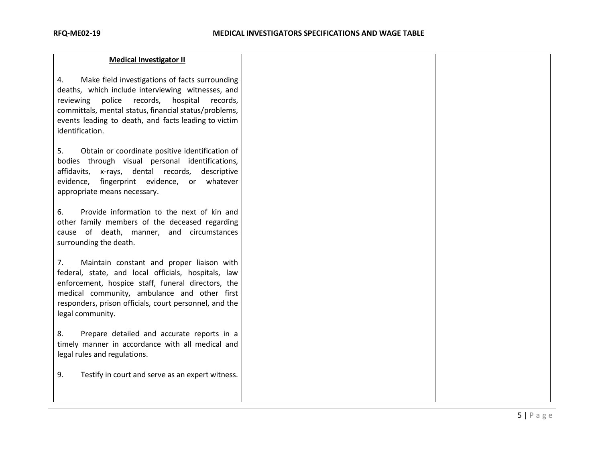| <b>Medical Investigator II</b>                                                                                                                                                                                                                                                                     |  |
|----------------------------------------------------------------------------------------------------------------------------------------------------------------------------------------------------------------------------------------------------------------------------------------------------|--|
| Make field investigations of facts surrounding<br>4.<br>deaths, which include interviewing witnesses, and<br>reviewing police<br>records, hospital<br>records,<br>committals, mental status, financial status/problems,<br>events leading to death, and facts leading to victim<br>identification. |  |
| 5.<br>Obtain or coordinate positive identification of<br>bodies through visual personal identifications,<br>affidavits, x-rays, dental records,<br>descriptive<br>evidence, fingerprint evidence, or whatever<br>appropriate means necessary.                                                      |  |
| 6.<br>Provide information to the next of kin and<br>other family members of the deceased regarding<br>cause of death, manner, and circumstances<br>surrounding the death.                                                                                                                          |  |
| Maintain constant and proper liaison with<br>7.<br>federal, state, and local officials, hospitals, law<br>enforcement, hospice staff, funeral directors, the<br>medical community, ambulance and other first<br>responders, prison officials, court personnel, and the<br>legal community.         |  |
| Prepare detailed and accurate reports in a<br>8.<br>timely manner in accordance with all medical and<br>legal rules and regulations.                                                                                                                                                               |  |
| 9.<br>Testify in court and serve as an expert witness.                                                                                                                                                                                                                                             |  |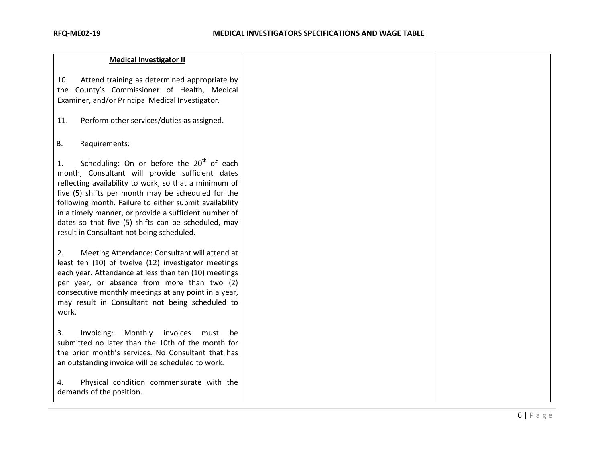| <b>Medical Investigator II</b>                                                                                                                                                                                                                                                                                                                                                                                                                       |  |
|------------------------------------------------------------------------------------------------------------------------------------------------------------------------------------------------------------------------------------------------------------------------------------------------------------------------------------------------------------------------------------------------------------------------------------------------------|--|
| Attend training as determined appropriate by<br>10.<br>the County's Commissioner of Health, Medical<br>Examiner, and/or Principal Medical Investigator.<br>11.<br>Perform other services/duties as assigned.                                                                                                                                                                                                                                         |  |
| <b>B.</b><br>Requirements:                                                                                                                                                                                                                                                                                                                                                                                                                           |  |
| Scheduling: On or before the 20 <sup>th</sup> of each<br>1.<br>month, Consultant will provide sufficient dates<br>reflecting availability to work, so that a minimum of<br>five (5) shifts per month may be scheduled for the<br>following month. Failure to either submit availability<br>in a timely manner, or provide a sufficient number of<br>dates so that five (5) shifts can be scheduled, may<br>result in Consultant not being scheduled. |  |
| 2.<br>Meeting Attendance: Consultant will attend at<br>least ten (10) of twelve (12) investigator meetings<br>each year. Attendance at less than ten (10) meetings<br>per year, or absence from more than two (2)<br>consecutive monthly meetings at any point in a year,<br>may result in Consultant not being scheduled to<br>work.                                                                                                                |  |
| 3.<br>Monthly<br>invoices<br>Invoicing:<br>must<br>be<br>submitted no later than the 10th of the month for<br>the prior month's services. No Consultant that has<br>an outstanding invoice will be scheduled to work.                                                                                                                                                                                                                                |  |
| 4.<br>Physical condition commensurate with the<br>demands of the position.                                                                                                                                                                                                                                                                                                                                                                           |  |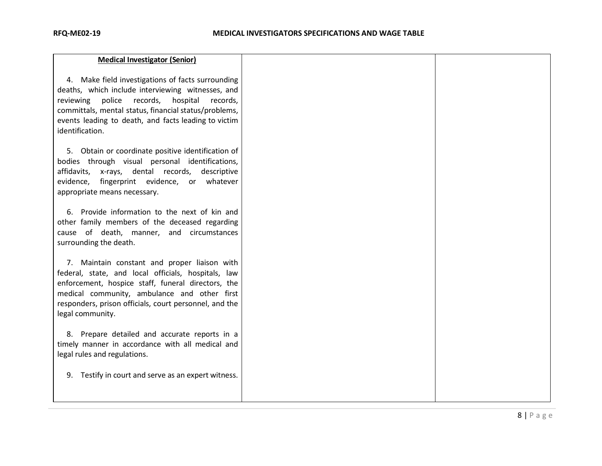| <b>Medical Investigator (Senior)</b>                                                                                                                                                                                                                                                         |  |
|----------------------------------------------------------------------------------------------------------------------------------------------------------------------------------------------------------------------------------------------------------------------------------------------|--|
| 4. Make field investigations of facts surrounding<br>deaths, which include interviewing witnesses, and<br>reviewing police<br>records, hospital records,<br>committals, mental status, financial status/problems,<br>events leading to death, and facts leading to victim<br>identification. |  |
| 5. Obtain or coordinate positive identification of<br>bodies through visual personal identifications,<br>affidavits, x-rays, dental records, descriptive<br>evidence, fingerprint evidence, or whatever<br>appropriate means necessary.                                                      |  |
| 6. Provide information to the next of kin and<br>other family members of the deceased regarding<br>cause of death, manner, and circumstances<br>surrounding the death.                                                                                                                       |  |
| 7. Maintain constant and proper liaison with<br>federal, state, and local officials, hospitals, law<br>enforcement, hospice staff, funeral directors, the<br>medical community, ambulance and other first<br>responders, prison officials, court personnel, and the<br>legal community.      |  |
| 8. Prepare detailed and accurate reports in a<br>timely manner in accordance with all medical and<br>legal rules and regulations.                                                                                                                                                            |  |
| Testify in court and serve as an expert witness.<br>9.                                                                                                                                                                                                                                       |  |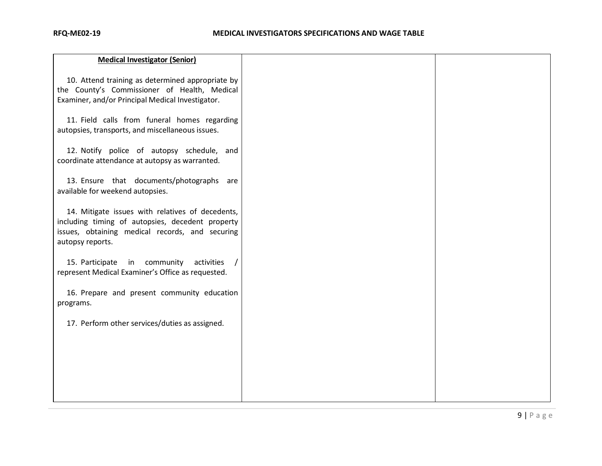| <b>Medical Investigator (Senior)</b>                                                                                                                                        |  |
|-----------------------------------------------------------------------------------------------------------------------------------------------------------------------------|--|
| 10. Attend training as determined appropriate by<br>the County's Commissioner of Health, Medical<br>Examiner, and/or Principal Medical Investigator.                        |  |
| 11. Field calls from funeral homes regarding<br>autopsies, transports, and miscellaneous issues.                                                                            |  |
| 12. Notify police of autopsy schedule, and<br>coordinate attendance at autopsy as warranted.                                                                                |  |
| 13. Ensure that documents/photographs are<br>available for weekend autopsies.                                                                                               |  |
| 14. Mitigate issues with relatives of decedents,<br>including timing of autopsies, decedent property<br>issues, obtaining medical records, and securing<br>autopsy reports. |  |
| 15. Participate in community<br>activities<br>represent Medical Examiner's Office as requested.                                                                             |  |
| 16. Prepare and present community education<br>programs.                                                                                                                    |  |
| 17. Perform other services/duties as assigned.                                                                                                                              |  |
|                                                                                                                                                                             |  |
|                                                                                                                                                                             |  |
|                                                                                                                                                                             |  |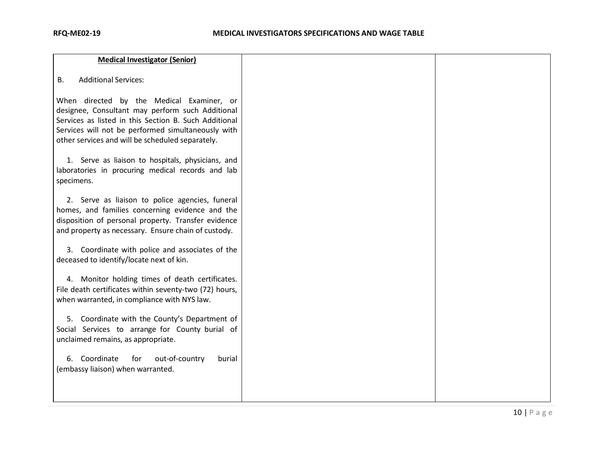| <b>Medical Investigator (Senior)</b>                                                                                                                                                                                                                             |
|------------------------------------------------------------------------------------------------------------------------------------------------------------------------------------------------------------------------------------------------------------------|
| <b>Additional Services:</b><br>В.                                                                                                                                                                                                                                |
| When directed by the Medical Examiner, or<br>designee, Consultant may perform such Additional<br>Services as listed in this Section B. Such Additional<br>Services will not be performed simultaneously with<br>other services and will be scheduled separately. |
| 1. Serve as liaison to hospitals, physicians, and<br>laboratories in procuring medical records and lab<br>specimens.                                                                                                                                             |
| 2. Serve as liaison to police agencies, funeral<br>homes, and families concerning evidence and the<br>disposition of personal property. Transfer evidence<br>and property as necessary. Ensure chain of custody.                                                 |
| 3. Coordinate with police and associates of the<br>deceased to identify/locate next of kin.                                                                                                                                                                      |
| 4. Monitor holding times of death certificates.<br>File death certificates within seventy-two (72) hours,<br>when warranted, in compliance with NYS law.                                                                                                         |
| 5. Coordinate with the County's Department of<br>Social Services to arrange for County burial of<br>unclaimed remains, as appropriate.                                                                                                                           |
| 6. Coordinate<br>out-of-country<br>for<br>burial<br>(embassy liaison) when warranted.                                                                                                                                                                            |
|                                                                                                                                                                                                                                                                  |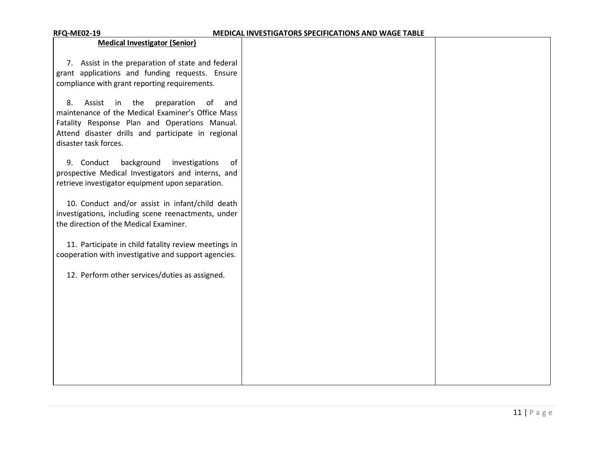| <b>RFQ-ME02-19</b>                                                                                                                                                                                                                         | MEDICAL INVESTIGATORS SPECIFICATIONS AND WAGE TABLE |  |
|--------------------------------------------------------------------------------------------------------------------------------------------------------------------------------------------------------------------------------------------|-----------------------------------------------------|--|
| <b>Medical Investigator (Senior)</b>                                                                                                                                                                                                       |                                                     |  |
| 7. Assist in the preparation of state and federal<br>grant applications and funding requests. Ensure<br>compliance with grant reporting requirements.                                                                                      |                                                     |  |
| preparation<br>8.<br>Assist<br>in<br>the<br>of<br>and<br>maintenance of the Medical Examiner's Office Mass<br>Fatality Response Plan and Operations Manual.<br>Attend disaster drills and participate in regional<br>disaster task forces. |                                                     |  |
| 9. Conduct<br>background<br>investigations<br>0f<br>prospective Medical Investigators and interns, and<br>retrieve investigator equipment upon separation.                                                                                 |                                                     |  |
| 10. Conduct and/or assist in infant/child death<br>investigations, including scene reenactments, under<br>the direction of the Medical Examiner.                                                                                           |                                                     |  |
| 11. Participate in child fatality review meetings in<br>cooperation with investigative and support agencies.                                                                                                                               |                                                     |  |
| 12. Perform other services/duties as assigned.                                                                                                                                                                                             |                                                     |  |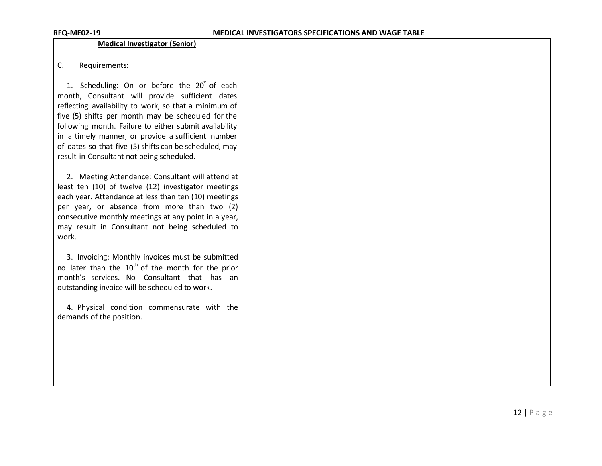### **Medical Investigator (Senior)**

| J. | Requirements: |
|----|---------------|
|----|---------------|

1. Scheduling: On or before the  $20^{\degree}$  of each month, Consultant will provide sufficient dates reflecting availability to work, so that a minimum of five (5) shifts per month may be scheduled for the following month. Failure to either submit availability in a timely manner, or provide a sufficient number of dates so that five (5) shifts can be scheduled, may result in Consultant not being scheduled.

2. Meeting Attendance: Consultant will attend at least ten (10) of twelve (12) investigator meetings each year. Attendance at less than ten (10) meetings per year, or absence from more than two (2) consecutive monthly meetings at any point in a year, may result in Consultant not being scheduled to work.

3. Invoicing: Monthly invoices must be submitted no later than the  $10^{th}$  of the month for the prior month's services. No Consultant that has an outstanding invoice will be scheduled to work.

4. Physical condition commensurate with the demands of the position.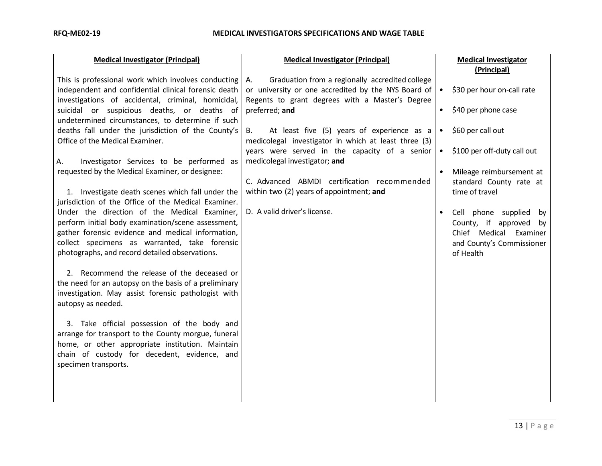| <b>Medical Investigator (Principal)</b>                                                                                                                                                                                                                                                                                                                                                                                                                                                        | <b>Medical Investigator (Principal)</b>                                                                      |           | <b>Medical Investigator</b>                                                                                             |
|------------------------------------------------------------------------------------------------------------------------------------------------------------------------------------------------------------------------------------------------------------------------------------------------------------------------------------------------------------------------------------------------------------------------------------------------------------------------------------------------|--------------------------------------------------------------------------------------------------------------|-----------|-------------------------------------------------------------------------------------------------------------------------|
|                                                                                                                                                                                                                                                                                                                                                                                                                                                                                                |                                                                                                              |           | (Principal)                                                                                                             |
| This is professional work which involves conducting<br>independent and confidential clinical forensic death                                                                                                                                                                                                                                                                                                                                                                                    | Graduation from a regionally accredited college<br>A.<br>or university or one accredited by the NYS Board of | $\bullet$ | \$30 per hour on-call rate                                                                                              |
| investigations of accidental, criminal, homicidal,<br>suicidal or suspicious deaths, or deaths of<br>undetermined circumstances, to determine if such                                                                                                                                                                                                                                                                                                                                          | Regents to grant degrees with a Master's Degree<br>preferred; and                                            | $\bullet$ | \$40 per phone case                                                                                                     |
| deaths fall under the jurisdiction of the County's<br>Office of the Medical Examiner.                                                                                                                                                                                                                                                                                                                                                                                                          | At least five (5) years of experience as a<br>B.<br>medicolegal investigator in which at least three (3)     | $\bullet$ | \$60 per call out                                                                                                       |
| Investigator Services to be performed as<br>А.                                                                                                                                                                                                                                                                                                                                                                                                                                                 | years were served in the capacity of a senior<br>medicolegal investigator; and                               | $\bullet$ | \$100 per off-duty call out                                                                                             |
| requested by the Medical Examiner, or designee:                                                                                                                                                                                                                                                                                                                                                                                                                                                | C. Advanced ABMDI certification recommended                                                                  | $\bullet$ | Mileage reimbursement at<br>standard County rate at                                                                     |
| 1. Investigate death scenes which fall under the<br>jurisdiction of the Office of the Medical Examiner.                                                                                                                                                                                                                                                                                                                                                                                        | within two (2) years of appointment; and                                                                     |           | time of travel                                                                                                          |
| Under the direction of the Medical Examiner,<br>perform initial body examination/scene assessment,<br>gather forensic evidence and medical information,<br>collect specimens as warranted, take forensic<br>photographs, and record detailed observations.<br>2. Recommend the release of the deceased or<br>the need for an autopsy on the basis of a preliminary<br>investigation. May assist forensic pathologist with<br>autopsy as needed.<br>3. Take official possession of the body and | D. A valid driver's license.                                                                                 | $\bullet$ | Cell phone supplied<br>by<br>County, if approved by<br>Chief Medical Examiner<br>and County's Commissioner<br>of Health |
| arrange for transport to the County morgue, funeral<br>home, or other appropriate institution. Maintain<br>chain of custody for decedent, evidence, and<br>specimen transports.                                                                                                                                                                                                                                                                                                                |                                                                                                              |           |                                                                                                                         |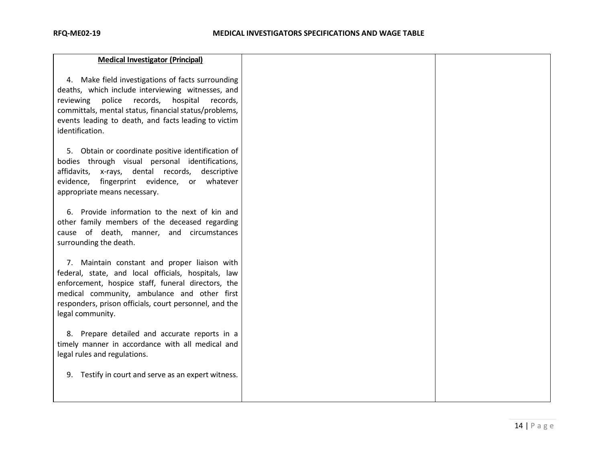| <b>Medical Investigator (Principal)</b>                                                                                                                                                                                                                                                         |  |
|-------------------------------------------------------------------------------------------------------------------------------------------------------------------------------------------------------------------------------------------------------------------------------------------------|--|
| 4. Make field investigations of facts surrounding<br>deaths, which include interviewing witnesses, and<br>reviewing police records,<br>hospital<br>records,<br>committals, mental status, financial status/problems,<br>events leading to death, and facts leading to victim<br>identification. |  |
| 5. Obtain or coordinate positive identification of<br>bodies through visual personal identifications,<br>affidavits, x-rays, dental records, descriptive<br>evidence, fingerprint evidence, or whatever<br>appropriate means necessary.                                                         |  |
| 6. Provide information to the next of kin and<br>other family members of the deceased regarding<br>cause of death, manner, and circumstances<br>surrounding the death.                                                                                                                          |  |
| 7. Maintain constant and proper liaison with<br>federal, state, and local officials, hospitals, law<br>enforcement, hospice staff, funeral directors, the<br>medical community, ambulance and other first<br>responders, prison officials, court personnel, and the<br>legal community.         |  |
| 8. Prepare detailed and accurate reports in a<br>timely manner in accordance with all medical and<br>legal rules and regulations.                                                                                                                                                               |  |
| 9. Testify in court and serve as an expert witness.                                                                                                                                                                                                                                             |  |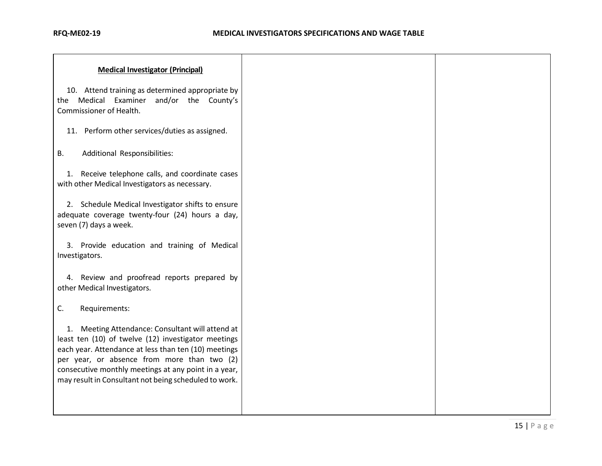| <b>Medical Investigator (Principal)</b>                                                                                                                                                                                                                                                                                         |  |
|---------------------------------------------------------------------------------------------------------------------------------------------------------------------------------------------------------------------------------------------------------------------------------------------------------------------------------|--|
| 10. Attend training as determined appropriate by<br>the Medical Examiner and/or the County's<br>Commissioner of Health.                                                                                                                                                                                                         |  |
| 11. Perform other services/duties as assigned.                                                                                                                                                                                                                                                                                  |  |
| Additional Responsibilities:<br><b>B.</b>                                                                                                                                                                                                                                                                                       |  |
| 1. Receive telephone calls, and coordinate cases<br>with other Medical Investigators as necessary.                                                                                                                                                                                                                              |  |
| 2. Schedule Medical Investigator shifts to ensure<br>adequate coverage twenty-four (24) hours a day,<br>seven (7) days a week.                                                                                                                                                                                                  |  |
| 3. Provide education and training of Medical<br>Investigators.                                                                                                                                                                                                                                                                  |  |
| 4. Review and proofread reports prepared by<br>other Medical Investigators.                                                                                                                                                                                                                                                     |  |
| C.<br>Requirements:                                                                                                                                                                                                                                                                                                             |  |
| 1. Meeting Attendance: Consultant will attend at<br>least ten (10) of twelve (12) investigator meetings<br>each year. Attendance at less than ten (10) meetings<br>per year, or absence from more than two (2)<br>consecutive monthly meetings at any point in a year,<br>may result in Consultant not being scheduled to work. |  |
|                                                                                                                                                                                                                                                                                                                                 |  |